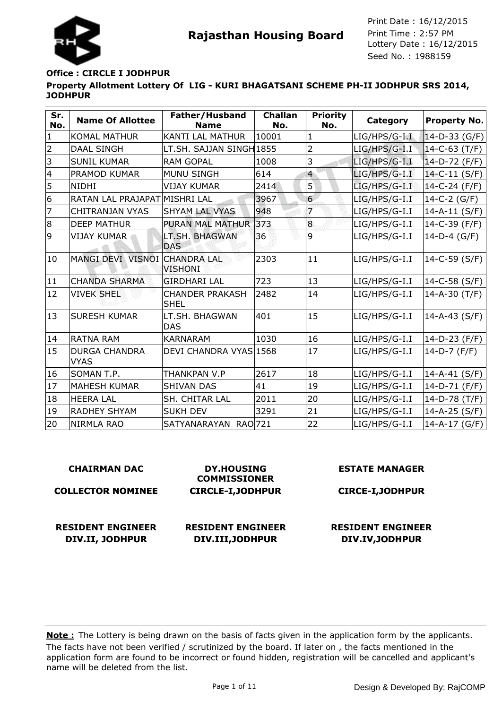

#### **Office : CIRCLE I JODHPUR**

**Property Allotment Lottery Of LIG - KURI BHAGATSANI SCHEME PH-II JODHPUR SRS 2014, JODHPUR**

| Sr.<br>No.     | <b>Name Of Allottee</b>             | Father/Husband<br><b>Name</b>         | <b>Challan</b><br>No. | <b>Priority</b><br>No. | Category         | <b>Property No.</b> |
|----------------|-------------------------------------|---------------------------------------|-----------------------|------------------------|------------------|---------------------|
| $\mathbf{1}$   | <b>KOMAL MATHUR</b>                 | <b>KANTI LAL MATHUR</b>               | 10001                 | $\mathbf{1}$           | $LIG/HPS/G-I.I.$ | 14-D-33 (G/F)       |
| $\overline{2}$ | <b>DAAL SINGH</b>                   | LT.SH. SAJJAN SINGH1855               |                       | $\overline{2}$         | LIG/HPS/G-I.I    | $14 - C - 63$ (T/F) |
| 3              | <b>SUNIL KUMAR</b>                  | <b>RAM GOPAL</b>                      | 1008                  | 3                      | LIG/HPS/G-I.I    | $14-D-72$ (F/F)     |
| $\overline{4}$ | PRAMOD KUMAR                        | <b>MUNU SINGH</b>                     | 614                   | $\overline{4}$         | LIG/HPS/G-I.I    | $14-C-11(S/F)$      |
| 5              | <b>NIDHI</b>                        | <b>VIJAY KUMAR</b>                    | 2414                  | $\overline{5}$         | LIG/HPS/G-I.I    | 14-C-24 (F/F)       |
| 6              | RATAN LAL PRAJAPAT MISHRI LAL       |                                       | 3967                  | 6                      | LIG/HPS/G-I.I    | $14-C-2(G/F)$       |
| 7              | <b>CHITRANJAN VYAS</b>              | <b>SHYAM LAL VYAS</b>                 | 948                   | $\overline{7}$         | LIG/HPS/G-I.I    | $14 - A - 11$ (S/F) |
| 8              | <b>DEEP MATHUR</b>                  | <b>PURAN MAL MATHUR</b>               | 373                   | 8                      | LIG/HPS/G-I.I    | $14-C-39$ (F/F)     |
| 9              | <b>VIJAY KUMAR</b>                  | LT.SH. BHAGWAN<br><b>DAS</b>          | 36                    | 9                      | LIG/HPS/G-I.I    | $14-D-4$ (G/F)      |
| 10             | MANGI DEVI VISNOI CHANDRA LAL       | <b>VISHONI</b>                        | 2303                  | 11                     | LIG/HPS/G-I.I    | 14-C-59 (S/F)       |
| 11             | <b>CHANDA SHARMA</b>                | <b>GIRDHARI LAL</b>                   | 723                   | 13                     | LIG/HPS/G-I.I    | 14-C-58 (S/F)       |
| 12             | <b>VIVEK SHEL</b>                   | <b>CHANDER PRAKASH</b><br><b>SHEL</b> | 2482                  | 14                     | LIG/HPS/G-I.I    | $14 - A - 30$ (T/F) |
| 13             | <b>SURESH KUMAR</b>                 | LT.SH. BHAGWAN<br><b>DAS</b>          | 401                   | 15                     | LIG/HPS/G-I.I    | $14 - A - 43$ (S/F) |
| 14             | RATNA RAM                           | <b>KARNARAM</b>                       | 1030                  | 16                     | LIG/HPS/G-I.I    | 14-D-23 $(F/F)$     |
| 15             | <b>DURGA CHANDRA</b><br><b>VYAS</b> | DEVI CHANDRA VYAS 1568                |                       | 17                     | LIG/HPS/G-I.I    | 14-D-7 $(F/F)$      |
| 16             | SOMAN T.P.                          | THANKPAN V.P                          | 2617                  | 18                     | LIG/HPS/G-I.I    | $14 - A - 41$ (S/F) |
| 17             | <b>MAHESH KUMAR</b>                 | <b>SHIVAN DAS</b>                     | 41                    | 19                     | LIG/HPS/G-I.I    | 14-D-71 (F/F)       |
| 18             | <b>HEERA LAL</b>                    | SH. CHITAR LAL                        | 2011                  | 20                     | LIG/HPS/G-I.I    | $14-D-78$ (T/F)     |
| 19             | <b>RADHEY SHYAM</b>                 | <b>SUKH DEV</b>                       | 3291                  | 21                     | LIG/HPS/G-I.I    | $14 - A - 25 (S/F)$ |
| 20             | <b>NIRMLA RAO</b>                   | SATYANARAYAN RAO 721                  |                       | 22                     | LIG/HPS/G-I.I    | 14-A-17 (G/F)       |

#### **CHAIRMAN DAC COLLECTOR NOMINEE DY.HOUSING COMMISSIONER CIRCLE-I,JODHPUR ESTATE MANAGER CIRCE-I,JODHPUR RESIDENT ENGINEER DIV.II, JODHPUR RESIDENT ENGINEER DIV.III,JODHPUR RESIDENT ENGINEER DIV.IV,JODHPUR**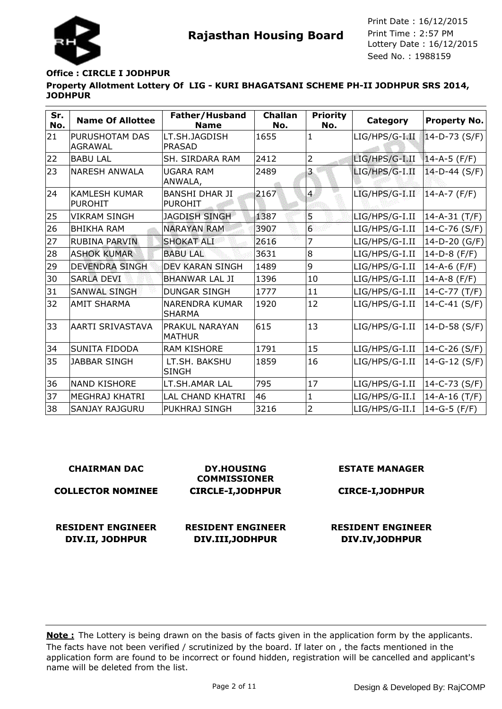

#### **Office : CIRCLE I JODHPUR**

**Property Allotment Lottery Of LIG - KURI BHAGATSANI SCHEME PH-II JODHPUR SRS 2014, JODHPUR**

| Sr.<br>No. | <b>Name Of Allottee</b>                | Father/Husband<br><b>Name</b>           | <b>Challan</b><br>No. | <b>Priority</b><br>No. | Category       | <b>Property No.</b> |
|------------|----------------------------------------|-----------------------------------------|-----------------------|------------------------|----------------|---------------------|
| 21         | PURUSHOTAM DAS<br><b>AGRAWAL</b>       | LT.SH.JAGDISH<br><b>PRASAD</b>          | 1655                  | $\mathbf{1}$           | LIG/HPS/G-I.II | $14-D-73$ (S/F)     |
| 22         | <b>BABU LAL</b>                        | SH. SIRDARA RAM                         | 2412                  | 2                      | LIG/HPS/G-I.II | $14 - A - 5$ (F/F)  |
| 23         | NARESH ANWALA                          | <b>UGARA RAM</b><br>ANWALA,             | 2489                  | 3                      | LIG/HPS/G-I.II | $14-D-44$ (S/F)     |
| 24         | <b>KAMLESH KUMAR</b><br><b>PUROHIT</b> | <b>BANSHI DHAR JI</b><br><b>PUROHIT</b> | 2167                  | $\overline{4}$         | LIG/HPS/G-I.II | 14-A-7 (F/F)        |
| 25         | <b>VIKRAM SINGH</b>                    | <b>JAGDISH SINGH</b>                    | 1387                  | 5                      | LIG/HPS/G-I.II | $14 - A - 31$ (T/F) |
| 26         | <b>BHIKHA RAM</b>                      | <b>NARAYAN RAM</b>                      | 3907                  | $6\phantom{a}$         | LIG/HPS/G-I.II | 14-C-76 (S/F)       |
| 27         | <b>RUBINA PARVIN</b>                   | <b>SHOKAT ALI</b>                       | 2616                  | 7                      | LIG/HPS/G-I.II | 14-D-20 (G/F)       |
| 28         | <b>ASHOK KUMAR</b>                     | <b>BABU LAL</b>                         | 3631                  | 8                      | LIG/HPS/G-I.II | $14-D-8$ (F/F)      |
| 29         | <b>DEVENDRA SINGH</b>                  | <b>DEV KARAN SINGH</b>                  | 1489                  | 9                      | LIG/HPS/G-I.II | 14-A-6 (F/F)        |
| 30         | <b>SARLA DEVI</b>                      | <b>BHANWAR LAL JI</b>                   | 1396                  | 10                     | LIG/HPS/G-I.II | 14-A-8 $(F/F)$      |
| 31         | <b>SANWAL SINGH</b>                    | <b>DUNGAR SINGH</b>                     | 1777                  | 11                     | LIG/HPS/G-I.II | $14-C-77(T/F)$      |
| 32         | <b>AMIT SHARMA</b>                     | <b>NARENDRA KUMAR</b><br><b>SHARMA</b>  | 1920                  | 12                     | LIG/HPS/G-I.II | 14-C-41 (S/F)       |
| 33         | <b>AARTI SRIVASTAVA</b>                | PRAKUL NARAYAN<br><b>MATHUR</b>         | 615                   | 13                     | LIG/HPS/G-I.II | 14-D-58 (S/F)       |
| 34         | <b>SUNITA FIDODA</b>                   | <b>RAM KISHORE</b>                      | 1791                  | 15                     | LIG/HPS/G-I.II | 14-C-26 (S/F)       |
| 35         | <b>JABBAR SINGH</b>                    | LT.SH. BAKSHU<br><b>SINGH</b>           | 1859                  | 16                     | LIG/HPS/G-I.II | 14-G-12 (S/F)       |
| 36         | <b>NAND KISHORE</b>                    | LT.SH.AMAR LAL                          | 795                   | 17                     | LIG/HPS/G-I.II | $14-C-73(S/F)$      |
| 37         | MEGHRAJ KHATRI                         | LAL CHAND KHATRI                        | 46                    | $\mathbf 1$            | LIG/HPS/G-II.I | $14 - A - 16$ (T/F) |
| 38         | <b>SANJAY RAJGURU</b>                  | PUKHRAJ SINGH                           | 3216                  | $\overline{2}$         | LIG/HPS/G-II.I | $14-G-5$ (F/F)      |

| <b>CHAIRMAN DAC</b>      | <b>DY.HOUSING</b><br><b>COMMISSIONER</b> | <b>ESTATE MANAGER</b>    |
|--------------------------|------------------------------------------|--------------------------|
| <b>COLLECTOR NOMINEE</b> | <b>CIRCLE-I, JODHPUR</b>                 | <b>CIRCE-I, JODHPUR</b>  |
| <b>RESIDENT ENGINEER</b> | <b>RESIDENT ENGINEER</b>                 | <b>RESIDENT ENGINEER</b> |
| DIV.II, JODHPUR          | DIV.III, JODHPUR                         | DIV.IV, JODHPUR          |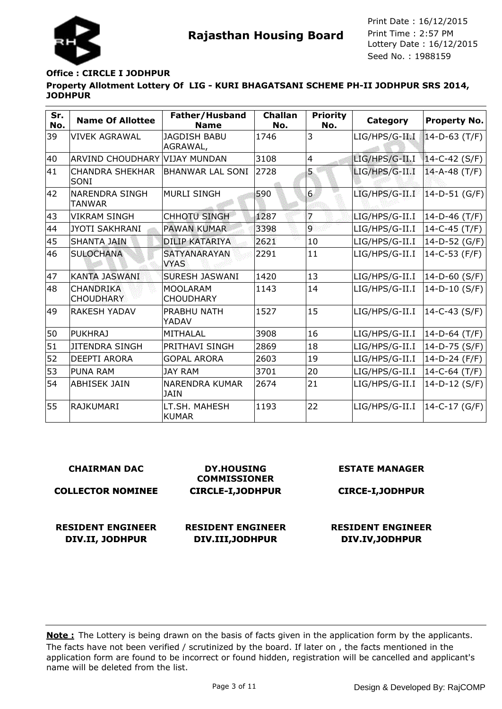

## **Office : CIRCLE I JODHPUR**

**Property Allotment Lottery Of LIG - KURI BHAGATSANI SCHEME PH-II JODHPUR SRS 2014, JODHPUR**

| Sr.<br>No. | <b>Name Of Allottee</b>              | Father/Husband<br><b>Name</b>        | <b>Challan</b><br>No. | <b>Priority</b><br>No. | Category       | Property No.        |
|------------|--------------------------------------|--------------------------------------|-----------------------|------------------------|----------------|---------------------|
| 39         | VIVEK AGRAWAL                        | <b>JAGDISH BABU</b><br>AGRAWAL,      | 1746                  | 3                      | LIG/HPS/G-II I | $14-D-63$ (T/F)     |
| 40         | ARVIND CHOUDHARY                     | lvijay mundan                        | 3108                  | $\overline{4}$         | LIG/HPS/G-II.I | $14-C-42(S/F)$      |
| 41         | <b>CHANDRA SHEKHAR</b><br>lsoni      | <b>BHANWAR LAL SONI</b>              | 2728                  | 5                      | LIG/HPS/G-II.I | $14 - A - 48$ (T/F) |
| 42         | INARENDRA SINGH<br>TANWAR            | <b>MURLI SINGH</b>                   | 590                   | 6                      | LIG/HPS/G-II.I | $14-D-51(G/F)$      |
| 43         | <b>VIKRAM SINGH</b>                  | <b>CHHOTU SINGH</b>                  | 1287                  | 7                      | LIG/HPS/G-II.I | $14-D-46$ (T/F)     |
| 44         | <b>JYOTI SAKHRANI</b>                | <b>PAWAN KUMAR</b>                   | 3398                  | $\overline{9}$         | LIG/HPS/G-II.I | 14-C-45 (T/F)       |
| 45         | <b>SHANTA JAIN</b>                   | <b>DILIP KATARIYA</b>                | 2621                  | 10                     | LIG/HPS/G-II.I | 14-D-52 (G/F)       |
| 46         | <b>SULOCHANA</b>                     | <b>SATYANARAYAN</b><br><b>VYAS</b>   | 2291                  | 11                     | LIG/HPS/G-II.I | 14-C-53 (F/F)       |
| 47         | <b>KANTA JASWANI</b>                 | <b>SURESH JASWANI</b>                | 1420                  | 13                     | LIG/HPS/G-II.I | 14-D-60 (S/F)       |
| 48         | <b>CHANDRIKA</b><br><b>CHOUDHARY</b> | <b>MOOLARAM</b><br><b>CHOUDHARY</b>  | 1143                  | 14                     | LIG/HPS/G-II.I | 14-D-10 (S/F)       |
| 49         | <b>RAKESH YADAV</b>                  | PRABHU NATH<br>YADAV                 | 1527                  | 15                     | LIG/HPS/G-II.I | 14-C-43 $(S/F)$     |
| 50         | PUKHRAJ                              | <b>MITHALAL</b>                      | 3908                  | 16                     | LIG/HPS/G-II.I | $14-D-64$ (T/F)     |
| 51         | <b>JITENDRA SINGH</b>                | PRITHAVI SINGH                       | 2869                  | 18                     | LIG/HPS/G-II.I | 14-D-75 (S/F)       |
| 52         | <b>DEEPTI ARORA</b>                  | <b>GOPAL ARORA</b>                   | 2603                  | 19                     | LIG/HPS/G-II.I | 14-D-24 (F/F)       |
| 53         | <b>PUNA RAM</b>                      | <b>JAY RAM</b>                       | 3701                  | 20                     | LIG/HPS/G-II.I | 14-C-64 (T/F)       |
| 54         | <b>ABHISEK JAIN</b>                  | <b>NARENDRA KUMAR</b><br><b>JAIN</b> | 2674                  | 21                     | LIG/HPS/G-II.I | 14-D-12 (S/F)       |
| 55         | IRAJKUMARI                           | LT.SH. MAHESH<br><b>KUMAR</b>        | 1193                  | 22                     | LIG/HPS/G-II.I | $14-C-17(G/F)$      |

#### **CHAIRMAN DAC**

**COLLECTOR NOMINEE**

**DY.HOUSING COMMISSIONER CIRCLE-I,JODHPUR** **ESTATE MANAGER**

**CIRCE-I,JODHPUR**

**RESIDENT ENGINEER DIV.II, JODHPUR**

**RESIDENT ENGINEER DIV.III,JODHPUR**

**RESIDENT ENGINEER DIV.IV,JODHPUR**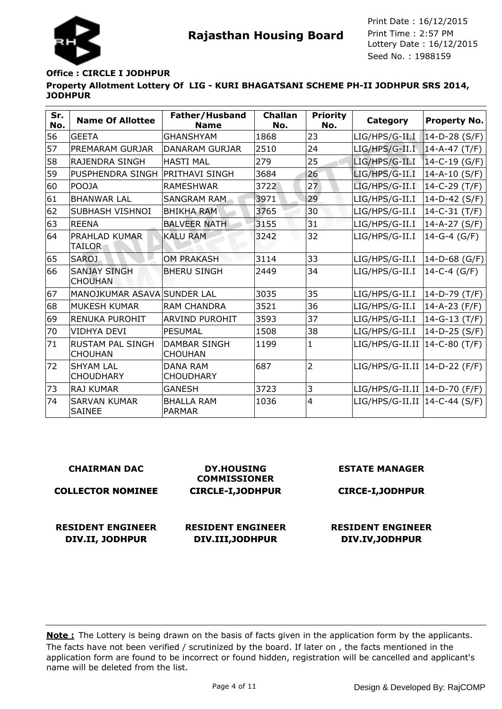

### **Office : CIRCLE I JODHPUR**

**Property Allotment Lottery Of LIG - KURI BHAGATSANI SCHEME PH-II JODHPUR SRS 2014, JODHPUR**

| Sr.<br>No. | <b>Name Of Allottee</b>                   | Father/Husband<br><b>Name</b>         | <b>Challan</b><br>No. | <b>Priority</b><br>No. | Category                        | Property No.        |
|------------|-------------------------------------------|---------------------------------------|-----------------------|------------------------|---------------------------------|---------------------|
| 56         | <b>GEETA</b>                              | <b>GHANSHYAM</b>                      | 1868                  | 23                     | LIG/HPS/G-II I                  | $14-D-28$ (S/F)     |
| 57         | PREMARAM GURJAR                           | <b>DANARAM GURJAR</b>                 | 2510                  | 24                     | LIG/HPS/G-II.I                  | $14 - A - 47$ (T/F) |
| 58         | RAJENDRA SINGH                            | <b>HASTI MAL</b>                      | 279                   | 25                     | LIG/HPS/G-II.I                  | $14-C-19(G/F)$      |
| 59         | PUSPHENDRA SINGH                          | <b>PRITHAVI SINGH</b>                 | 3684                  | 26                     | LIG/HPS/G-II.I                  | $14 - A - 10$ (S/F) |
| 60         | <b>POOJA</b>                              | <b>RAMESHWAR</b>                      | 3722                  | 27                     | LIG/HPS/G-II.I                  | $14-C-29$ (T/F)     |
| 61         | <b>BHANWAR LAL</b>                        | <b>SANGRAM RAM</b>                    | 3971                  | 29                     | LIG/HPS/G-II.I                  | $14-D-42$ (S/F)     |
| 62         | SUBHASH VISHNOI                           | <b>BHIKHA RAM</b>                     | 3765                  | 30                     | LIG/HPS/G-II.I                  | $14-C-31$ (T/F)     |
| 63         | <b>REENA</b>                              | <b>BALVEER NATH</b>                   | 3155                  | 31                     | LIG/HPS/G-II.I                  | $14 - A - 27 (S/F)$ |
| 64         | PRAHLAD KUMAR<br><b>TAILOR</b>            | <b>KALU RAM</b>                       | 3242                  | 32                     | LIG/HPS/G-II.I                  | $14-G-4$ (G/F)      |
| 65         | <b>SAROJ</b>                              | <b>OM PRAKASH</b>                     | 3114                  | 33                     | LIG/HPS/G-II.I                  | 14-D-68 (G/F)       |
| 66         | <b>SANJAY SINGH</b><br><b>CHOUHAN</b>     | <b>BHERU SINGH</b>                    | 2449                  | 34                     | LIG/HPS/G-II.I                  | 14-C-4 $(G/F)$      |
| 67         | MANOJKUMAR ASAVA SUNDER LAL               |                                       | 3035                  | 35                     | LIG/HPS/G-II.I                  | 14-D-79 (T/F)       |
| 68         | <b>MUKESH KUMAR</b>                       | <b>RAM CHANDRA</b>                    | 3521                  | 36                     | LIG/HPS/G-II.I                  | $14 - A - 23$ (F/F) |
| 69         | <b>RENUKA PUROHIT</b>                     | <b>ARVIND PUROHIT</b>                 | 3593                  | 37                     | LIG/HPS/G-II.I                  | $14-G-13(T/F)$      |
| 70         | <b>VIDHYA DEVI</b>                        | <b>PESUMAL</b>                        | 1508                  | 38                     | LIG/HPS/G-II.I                  | $14-D-25$ (S/F)     |
| 71         | <b>RUSTAM PAL SINGH</b><br><b>CHOUHAN</b> | <b>DAMBAR SINGH</b><br><b>CHOUHAN</b> | 1199                  | $\mathbf{1}$           | $LIG/HPS/G-II.II$               | 14-C-80 (T/F)       |
| 72         | <b>SHYAM LAL</b><br><b>CHOUDHARY</b>      | <b>DANA RAM</b><br><b>CHOUDHARY</b>   | 687                   | $\overline{2}$         | LIG/HPS/G-II.II   14-D-22 (F/F) |                     |
| 73         | <b>RAJ KUMAR</b>                          | <b>GANESH</b>                         | 3723                  | 3                      | LIG/HPS/G-II.II   14-D-70 (F/F) |                     |
| 74         | <b>SARVAN KUMAR</b><br><b>SAINEE</b>      | <b>BHALLA RAM</b><br><b>PARMAR</b>    | 1036                  | $\overline{4}$         | LIG/HPS/G-II.II   14-C-44 (S/F) |                     |

| <b>CHAIRMAN DAC</b>      | <b>DY.HOUSING</b><br><b>COMMISSIONER</b> | <b>ESTATE MANAGER</b>    |
|--------------------------|------------------------------------------|--------------------------|
| <b>COLLECTOR NOMINEE</b> | <b>CIRCLE-I, JODHPUR</b>                 | <b>CIRCE-I, JODHPUR</b>  |
|                          |                                          |                          |
| <b>RESIDENT ENGINEER</b> | <b>RESIDENT ENGINEER</b>                 | <b>RESIDENT ENGINEER</b> |
| DIV.II, JODHPUR          | DIV.III, JODHPUR                         | DIV.IV, JODHPUR          |
|                          |                                          |                          |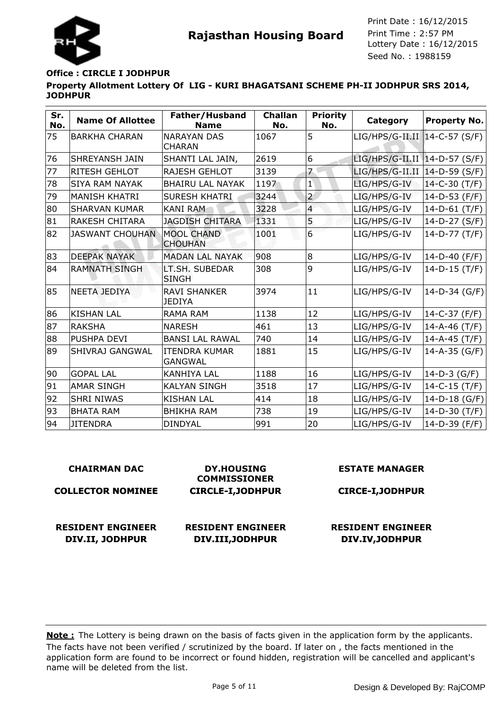

## **Office : CIRCLE I JODHPUR**

**Property Allotment Lottery Of LIG - KURI BHAGATSANI SCHEME PH-II JODHPUR SRS 2014, JODHPUR**

| Sr.<br>No. | <b>Name Of Allottee</b> | Father/Husband<br><b>Name</b>          | <b>Challan</b><br>No. | <b>Priority</b><br>No.  | Category                        | Property No.    |
|------------|-------------------------|----------------------------------------|-----------------------|-------------------------|---------------------------------|-----------------|
| 75         | <b>BARKHA CHARAN</b>    | <b>NARAYAN DAS</b><br><b>CHARAN</b>    | 1067                  | 5                       | LIG/HPS/G-II.II 14-C-57 (S/F)   |                 |
| 76         | <b>SHREYANSH JAIN</b>   | SHANTI LAL JAIN,                       | 2619                  | 6                       | LIG/HPS/G-II.II   14-D-57 (S/F) |                 |
| 77         | <b>RITESH GEHLOT</b>    | <b>RAJESH GEHLOT</b>                   | 3139                  | 7                       | $LIG/HPS/G-II.II$               | 14-D-59 (S/F)   |
| 78         | <b>SIYA RAM NAYAK</b>   | <b>BHAIRU LAL NAYAK</b>                | 1197                  | $\mathbf{1}$            | LIG/HPS/G-IV                    | 14-C-30 (T/F)   |
| 79         | <b>MANISH KHATRI</b>    | <b>SURESH KHATRI</b>                   | 3244                  | $\overline{a}$          | LIG/HPS/G-IV                    | $14-D-53$ (F/F) |
| 80         | <b>SHARVAN KUMAR</b>    | <b>KANI RAM</b>                        | 3228                  | $\overline{\mathbf{4}}$ | LIG/HPS/G-IV                    | 14-D-61 (T/F)   |
| 81         | <b>RAKESH CHITARA</b>   | <b>JAGDISH CHITARA</b>                 | 1331                  | 5.                      | LIG/HPS/G-IV                    | 14-D-27 (S/F)   |
| 82         | <b>JASWANT CHOUHAN</b>  | <b>MOOL CHAND</b><br><b>CHOUHAN</b>    | 1001                  | $\overline{6}$          | LIG/HPS/G-IV                    | 14-D-77 (T/F)   |
| 83         | <b>DEEPAK NAYAK</b>     | <b>MADAN LAL NAYAK</b>                 | 908                   | 8                       | LIG/HPS/G-IV                    | 14-D-40 (F/F)   |
| 84         | <b>RAMNATH SINGH</b>    | LT.SH. SUBEDAR<br><b>SINGH</b>         | 308                   | 9                       | LIG/HPS/G-IV                    | $14-D-15$ (T/F) |
| 85         | NEETA JEDIYA            | <b>RAVI SHANKER</b><br><b>JEDIYA</b>   | 3974                  | 11                      | LIG/HPS/G-IV                    | 14-D-34 (G/F)   |
| 86         | <b>KISHAN LAL</b>       | <b>RAMA RAM</b>                        | 1138                  | 12                      | LIG/HPS/G-IV                    | 14-C-37 (F/F)   |
| 87         | RAKSHA                  | <b>NARESH</b>                          | 461                   | 13                      | LIG/HPS/G-IV                    | 14-A-46 (T/F)   |
| 88         | <b>PUSHPA DEVI</b>      | <b>BANSI LAL RAWAL</b>                 | 740                   | 14                      | LIG/HPS/G-IV                    | 14-A-45 (T/F)   |
| 89         | SHIVRAJ GANGWAL         | <b>ITENDRA KUMAR</b><br><b>GANGWAL</b> | 1881                  | 15                      | LIG/HPS/G-IV                    | 14-A-35 (G/F)   |
| 90         | <b>GOPAL LAL</b>        | <b>KANHIYA LAL</b>                     | 1188                  | 16                      | LIG/HPS/G-IV                    | $14-D-3$ (G/F)  |
| 91         | <b>AMAR SINGH</b>       | <b>KALYAN SINGH</b>                    | 3518                  | 17                      | LIG/HPS/G-IV                    | 14-C-15 (T/F)   |
| 92         | <b>SHRI NIWAS</b>       | <b>KISHAN LAL</b>                      | 414                   | 18                      | LIG/HPS/G-IV                    | 14-D-18 (G/F)   |
| 93         | <b>BHATA RAM</b>        | <b>BHIKHA RAM</b>                      | 738                   | 19                      | LIG/HPS/G-IV                    | 14-D-30 (T/F)   |
| 94         | <b>JITENDRA</b>         | <b>DINDYAL</b>                         | 991                   | 20                      | LIG/HPS/G-IV                    | 14-D-39 (F/F)   |

## **CHAIRMAN DAC**

**COLLECTOR NOMINEE**

**DY.HOUSING COMMISSIONER CIRCLE-I,JODHPUR**

**RESIDENT ENGINEER DIV.II, JODHPUR**

**RESIDENT ENGINEER DIV.III,JODHPUR**

**ESTATE MANAGER**

**CIRCE-I,JODHPUR**

**RESIDENT ENGINEER DIV.IV,JODHPUR**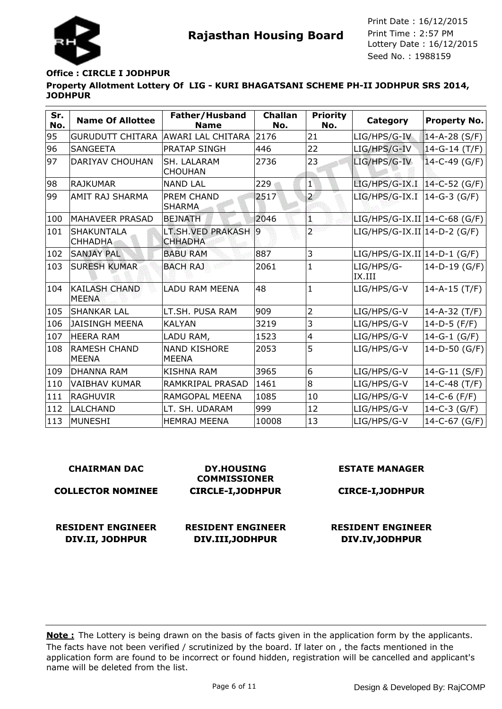

#### **Office : CIRCLE I JODHPUR**

**Property Allotment Lottery Of LIG - KURI BHAGATSANI SCHEME PH-II JODHPUR SRS 2014, JODHPUR**

| Sr.<br>No. | <b>Name Of Allottee</b>              | Father/Husband<br><b>Name</b>       | <b>Challan</b><br>No. | <b>Priority</b><br>No. | Category                       | <b>Property No.</b> |
|------------|--------------------------------------|-------------------------------------|-----------------------|------------------------|--------------------------------|---------------------|
| 95         | <b>GURUDUTT CHITARA</b>              | <b>AWARI LAL CHITARA</b>            | 2176                  | 21                     | LIG/HPS/G-IV                   | $14 - A - 28 (S/F)$ |
| 96         | <b>SANGEETA</b>                      | PRATAP SINGH                        | 446                   | 22                     | LIG/HPS/G-IV                   | $14-G-14(T/F)$      |
| 97         | <b>DARIYAV CHOUHAN</b>               | SH. LALARAM<br><b>CHOUHAN</b>       | 2736                  | 23                     | LIG/HPS/G-IV                   | $14-C-49(G/F)$      |
| 98         | RAJKUMAR                             | <b>NAND LAL</b>                     | 229                   | $1^{\circ}$            | LIG/HPS/G-IX.I   14-C-52 (G/F) |                     |
| 99         | <b>AMIT RAJ SHARMA</b>               | PREM CHAND<br><b>SHARMA</b>         | 2517                  | $\overline{2}$         | LIG/HPS/G-IX.I                 | $14-G-3$ (G/F)      |
| 100        | MAHAVEER PRASAD                      | <b>BEJNATH</b>                      | 2046                  | Ũ.                     | $LIG/HPS/G-IX.II 14-C-68(G/F)$ |                     |
| 101        | <b>SHAKUNTALA</b><br>CHHADHA.        | LT.SH.VED PRAKASH<br><b>CHHADHA</b> | $ 9\rangle$           | $\overline{2}$         | $LIG/HPS/G-IX.II 14-D-2(G/F)$  |                     |
| 102        | <b>SANJAY PAL</b>                    | <b>BABU RAM</b>                     | 887                   | 3                      | $LIG/HPS/G-IX.II 14-D-1(G/F)$  |                     |
| 103        | <b>SURESH KUMAR</b>                  | <b>BACH RAJ</b>                     | 2061                  | $\mathbf{1}$           | LIG/HPS/G-<br>IX.III           | $14-D-19(G/F)$      |
| 104        | <b>KAILASH CHAND</b><br><b>MEENA</b> | <b>LADU RAM MEENA</b>               | 48                    | $\mathbf{1}$           | LIG/HPS/G-V                    | $14 - A - 15$ (T/F) |
| 105        | <b>ISHANKAR LAL</b>                  | LT.SH. PUSA RAM                     | 909                   | $\overline{2}$         | LIG/HPS/G-V                    | $14 - A - 32$ (T/F) |
| 106        | <b>JAISINGH MEENA</b>                | <b>KALYAN</b>                       | 3219                  | 3                      | LIG/HPS/G-V                    | 14-D-5 $(F/F)$      |
| 107        | <b>HEERA RAM</b>                     | LADU RAM,                           | 1523                  | 4                      | LIG/HPS/G-V                    | $14-G-1(G/F)$       |
| 108        | <b>RAMESH CHAND</b><br><b>MEENA</b>  | <b>NAND KISHORE</b><br><b>MEENA</b> | 2053                  | 5                      | LIG/HPS/G-V                    | 14-D-50 (G/F)       |
| 109        | <b>DHANNA RAM</b>                    | <b>KISHNA RAM</b>                   | 3965                  | 6                      | LIG/HPS/G-V                    | 14-G-11 (S/F)       |
| 110        | <b>VAIBHAV KUMAR</b>                 | RAMKRIPAL PRASAD                    | 1461                  | 8                      | LIG/HPS/G-V                    | 14-C-48 (T/F)       |
| 111        | <b>RAGHUVIR</b>                      | RAMGOPAL MEENA                      | 1085                  | 10                     | LIG/HPS/G-V                    | 14-C-6 (F/F)        |
| 112        | <b>LALCHAND</b>                      | LT. SH. UDARAM                      | 999                   | 12                     | LIG/HPS/G-V                    | $14-C-3(G/F)$       |
| 113        | MUNESHI                              | <b>HEMRAJ MEENA</b>                 | 10008                 | 13                     | LIG/HPS/G-V                    | 14-C-67 (G/F)       |

#### **CHAIRMAN DAC**

#### **COLLECTOR NOMINEE**

**COMMISSIONER CIRCLE-I,JODHPUR**

**DY.HOUSING**

# **ESTATE MANAGER**

#### **CIRCE-I,JODHPUR**

**RESIDENT ENGINEER DIV.II, JODHPUR**

**RESIDENT ENGINEER DIV.III,JODHPUR**

**RESIDENT ENGINEER DIV.IV,JODHPUR**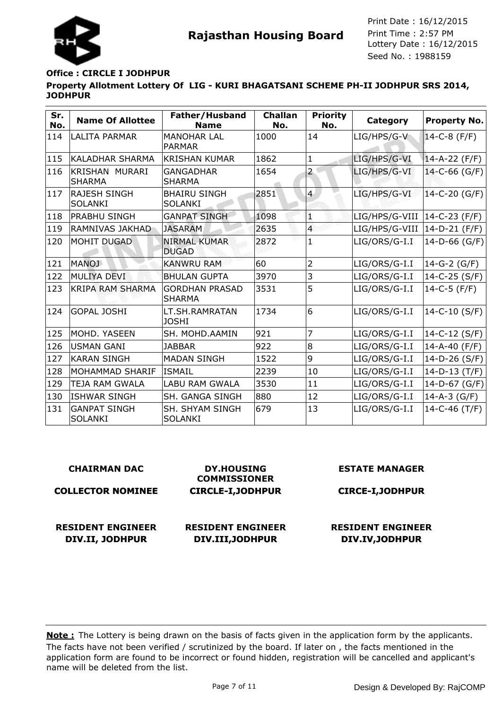

## **Office : CIRCLE I JODHPUR**

**Property Allotment Lottery Of LIG - KURI BHAGATSANI SCHEME PH-II JODHPUR SRS 2014, JODHPUR**

| Sr.<br>No. | <b>Name Of Allottee</b>               | Father/Husband<br><b>Name</b>          | <b>Challan</b><br>No. | <b>Priority</b><br>No. | Category                       | Property No.        |
|------------|---------------------------------------|----------------------------------------|-----------------------|------------------------|--------------------------------|---------------------|
| 114        | <b>LALITA PARMAR</b>                  | <b>MANOHAR LAL</b><br><b>PARMAR</b>    | 1000                  | 14                     | LIG/HPS/G-V                    | $14-C-8$ (F/F)      |
| 115        | KALADHAR SHARMA                       | <b>KRISHAN KUMAR</b>                   | 1862                  | 1                      | LIG/HPS/G-VI                   | $14 - A - 22 (F/F)$ |
| 116        | KRISHAN MURARI<br><b>SHARMA</b>       | <b>GANGADHAR</b><br><b>SHARMA</b>      | 1654                  | $\overline{a}$         | LIG/HPS/G-VI                   | 14-C-66 (G/F)       |
| 117        | <b>RAJESH SINGH</b><br><b>SOLANKI</b> | <b>BHAIRU SINGH</b><br><b>SOLANKI</b>  | 2851                  | $\overline{4}$         | LIG/HPS/G-VI                   | $14-C-20(G/F)$      |
| 118        | PRABHU SINGH                          | <b>GANPAT SINGH</b>                    | 1098                  | 1                      | LIG/HPS/G-VIII   14-C-23 (F/F) |                     |
| 119        | RAMNIVAS JAKHAD                       | <b>JASARAM</b>                         | 2635                  | $\overline{4}$         | LIG/HPS/G-VIII                 | 14-D-21 (F/F)       |
| 120        | <b>MOHIT DUGAD</b>                    | <b>NIRMAL KUMAR</b><br><b>DUGAD</b>    | 2872                  | 1                      | LIG/ORS/G-I.I                  | 14-D-66 (G/F)       |
| 121        | <b>MANOJ</b>                          | <b>KANWRU RAM</b>                      | 60                    | $\overline{2}$         | LIG/ORS/G-I.I                  | $14-G-2$ (G/F)      |
| 122        | MULIYA DEVI                           | <b>BHULAN GUPTA</b>                    | 3970                  | 3                      | LIG/ORS/G-I.I                  | 14-C-25 (S/F)       |
| 123        | <b>KRIPA RAM SHARMA</b>               | <b>GORDHAN PRASAD</b><br><b>SHARMA</b> | 3531                  | 5                      | LIG/ORS/G-I.I                  | $14-C-5$ (F/F)      |
| 124        | GOPAL JOSHI                           | LT.SH.RAMRATAN<br><b>JOSHI</b>         | 1734                  | 6                      | LIG/ORS/G-I.I                  | $14-C-10(S/F)$      |
| 125        | MOHD. YASEEN                          | SH. MOHD.AAMIN                         | 921                   | 7                      | LIG/ORS/G-I.I                  | 14-C-12 (S/F)       |
| 126        | USMAN GANI                            | <b>JABBAR</b>                          | 922                   | 8                      | LIG/ORS/G-I.I                  | 14-A-40 (F/F)       |
| 127        | <b>KARAN SINGH</b>                    | <b>MADAN SINGH</b>                     | 1522                  | 9                      | LIG/ORS/G-I.I                  | 14-D-26 (S/F)       |
| 128        | IMOHAMMAD SHARIF                      | <b>ISMAIL</b>                          | 2239                  | 10                     | LIG/ORS/G-I.I                  | $14-D-13$ (T/F)     |
| 129        | <b>TEJA RAM GWALA</b>                 | <b>LABU RAM GWALA</b>                  | 3530                  | 11                     | LIG/ORS/G-I.I                  | 14-D-67 (G/F)       |
| 130        | <b>ISHWAR SINGH</b>                   | SH. GANGA SINGH                        | 880                   | 12                     | LIG/ORS/G-I.I                  | $14 - A - 3$ (G/F)  |
| 131        | <b>GANPAT SINGH</b><br><b>SOLANKI</b> | SH. SHYAM SINGH<br><b>SOLANKI</b>      | 679                   | 13                     | LIG/ORS/G-I.I                  | $14 - C - 46$ (T/F) |

#### **CHAIRMAN DAC**

**COLLECTOR NOMINEE**

**COMMISSIONER CIRCLE-I,JODHPUR**

**DY.HOUSING**

## **RESIDENT ENGINEER DIV.II, JODHPUR**

**RESIDENT ENGINEER DIV.III,JODHPUR**

# **ESTATE MANAGER**

#### **CIRCE-I,JODHPUR**

## **RESIDENT ENGINEER DIV.IV,JODHPUR**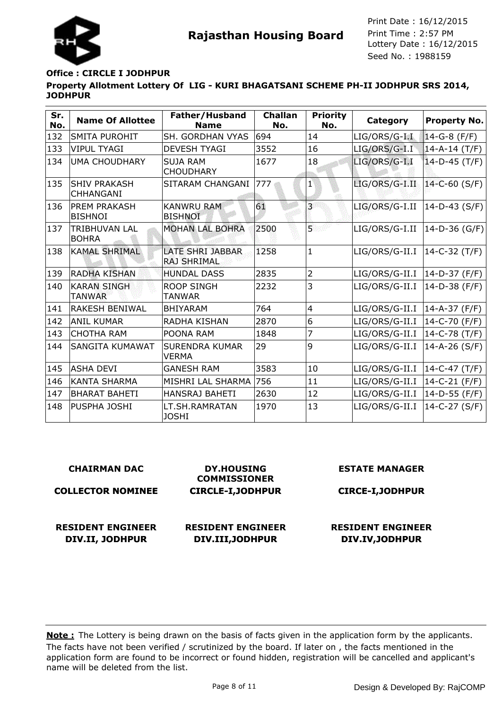

## **Office : CIRCLE I JODHPUR**

## **Property Allotment Lottery Of LIG - KURI BHAGATSANI SCHEME PH-II JODHPUR SRS 2014, JODHPUR**

| Sr.<br>No. | <b>Name Of Allottee</b>                 | Father/Husband<br><b>Name</b>                 | <b>Challan</b><br>No. | <b>Priority</b><br>No. | <b>Category</b> | <b>Property No.</b> |
|------------|-----------------------------------------|-----------------------------------------------|-----------------------|------------------------|-----------------|---------------------|
| 132        | SMITA PUROHIT                           | SH. GORDHAN VYAS                              | 694                   | 14                     | LIG/ORS/G-I.I   | 14-G-8 (F/F)        |
| 133        | <b>VIPUL TYAGI</b>                      | <b>DEVESH TYAGI</b>                           | 3552                  | 16                     | LIG/ORS/G-I.I   | $14 - A - 14$ (T/F) |
| 134        | <b>UMA CHOUDHARY</b>                    | <b>SUJA RAM</b><br><b>CHOUDHARY</b>           | 1677                  | 18                     | LIG/ORS/G-I.I   | $14-D-45$ (T/F)     |
| 135        | <b>SHIV PRAKASH</b><br><b>CHHANGANI</b> | SITARAM CHANGANI                              | 777                   | $\mathbf{1}$           | LIG/ORS/G-I.II  | 14-C-60 (S/F)       |
| 136        | PREM PRAKASH<br><b>BISHNOI</b>          | <b>KANWRU RAM</b><br><b>BISHNOI</b>           | 61                    | $\overline{3}$         | LIG/ORS/G-I.II  | 14-D-43 (S/F)       |
| 137        | <b>TRIBHUVAN LAL</b><br><b>BOHRA</b>    | <b>MOHAN LAL BOHRA</b>                        | 2500                  | Б                      | LIG/ORS/G-I.II  | 14-D-36 (G/F)       |
| 138        | <b>KAMAL SHRIMAL</b>                    | <b>LATE SHRI JABBAR</b><br><b>RAJ SHRIMAL</b> | 1258                  | $\mathbf{1}$           | LIG/ORS/G-II.I  | $ 14-C-32(T/F) $    |
| 139        | <b>RADHA KISHAN</b>                     | <b>HUNDAL DASS</b>                            | 2835                  | $\overline{2}$         | LIG/ORS/G-II.I  | 14-D-37 (F/F)       |
| 140        | <b>KARAN SINGH</b><br><b>TANWAR</b>     | <b>ROOP SINGH</b><br><b>TANWAR</b>            | 2232                  | 3                      | LIG/ORS/G-II.I  | 14-D-38 (F/F)       |
| 141        | <b>RAKESH BENIWAL</b>                   | <b>BHIYARAM</b>                               | 764                   | $\overline{4}$         | LIG/ORS/G-II.I  | 14-A-37 (F/F)       |
| 142        | ANIL KUMAR                              | RADHA KISHAN                                  | 2870                  | 6                      | LIG/ORS/G-II.I  | 14-C-70 (F/F)       |
| 143        | <b>CHOTHA RAM</b>                       | POONA RAM                                     | 1848                  | 7                      | LIG/ORS/G-II.I  | 14-C-78 (T/F)       |
| 144        | SANGITA KUMAWAT                         | <b>SURENDRA KUMAR</b><br><b>VERMA</b>         | 29                    | 9                      | LIG/ORS/G-II.I  | 14-A-26 (S/F)       |
| 145        | <b>ASHA DEVI</b>                        | <b>GANESH RAM</b>                             | 3583                  | 10                     | LIG/ORS/G-II.I  | $14-C-47$ (T/F)     |
| 146        | KANTA SHARMA                            | MISHRI LAL SHARMA                             | 756                   | 11                     | LIG/ORS/G-II.I  | 14-C-21 (F/F)       |
| 147        | BHARAT BAHETI                           | <b>HANSRAJ BAHETI</b>                         | 2630                  | 12                     | LIG/ORS/G-II.I  | 14-D-55 (F/F)       |
| 148        | PUSPHA JOSHI                            | LT.SH.RAMRATAN<br><b>JOSHI</b>                | 1970                  | 13                     | LIG/ORS/G-II.I  | 14-C-27 (S/F)       |

#### **CHAIRMAN DAC**

#### **COLLECTOR NOMINEE**

**RESIDENT ENGINEER**

**DIV.II, JODHPUR**

**DY.HOUSING COMMISSIONER CIRCLE-I,JODHPUR**

## **RESIDENT ENGINEER DIV.III,JODHPUR**

**ESTATE MANAGER**

#### **CIRCE-I,JODHPUR**

## **RESIDENT ENGINEER DIV.IV,JODHPUR**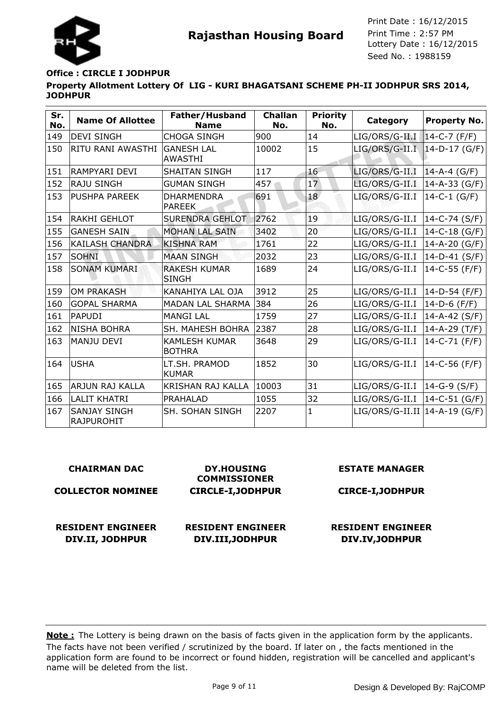

#### **Office : CIRCLE I JODHPUR**

**Property Allotment Lottery Of LIG - KURI BHAGATSANI SCHEME PH-II JODHPUR SRS 2014, JODHPUR**

| Sr.<br>No. | <b>Name Of Allottee</b>                  | Father/Husband<br><b>Name</b>         | <b>Challan</b><br>No. | <b>Priority</b><br>No. | Category                         | <b>Property No.</b> |
|------------|------------------------------------------|---------------------------------------|-----------------------|------------------------|----------------------------------|---------------------|
| 149        | <b>DEVI SINGH</b>                        | <b>CHOGA SINGH</b>                    | 900                   | 14                     | LIG/ORS/G-II.I                   | $14-C-7$ (F/F)      |
| 150        | RITU RANI AWASTHI                        | <b>GANESH LAL</b><br><b>AWASTHI</b>   | 10002                 | 15                     | $LIG/ORS/G-II.I$ $14-D-17$ (G/F) |                     |
| 151        | IRAMPYARI DEVI                           | <b>SHAITAN SINGH</b>                  | 117                   | 16                     | LIG/ORS/G-II.I                   | $14-A-4$ (G/F)      |
| 152        | <b>RAJU SINGH</b>                        | <b>GUMAN SINGH</b>                    | 457                   | 17                     | LIG/ORS/G-II.I                   | $14-A-33$ (G/F)     |
| 153        | <b>PUSHPA PAREEK</b>                     | <b>DHARMENDRA</b><br><b>PAREEK</b>    | 691                   | 18                     | LIG/ORS/G-II.I                   | $14-C-1$ (G/F)      |
| 154        | <b>RAKHI GEHLOT</b>                      | <b>SURENDRA GEHLOT</b>                | 2762                  | 19                     | LIG/ORS/G-II.I                   | $ 14-C-74(S/F) $    |
| 155        | <b>GANESH SAIN</b>                       | <b>MOHAN LAL SAIN</b>                 | 3402                  | 20                     | LIG/ORS/G-II.I                   | 14-C-18 (G/F)       |
| 156        | <b>KAILASH CHANDRA</b>                   | <b>KISHNA RAM</b>                     | 1761                  | 22                     | LIG/ORS/G-II.I                   | 14-A-20 (G/F)       |
| 157        | <b>SOHNI</b>                             | <b>MAAN SINGH</b>                     | 2032                  | 23                     | LIG/ORS/G-II.I                   | 14-D-41 (S/F)       |
| 158        | <b>SONAM KUMARI</b>                      | <b>RAKESH KUMAR</b><br><b>SINGH</b>   | 1689                  | 24                     | LIG/ORS/G-II.I                   | 14-C-55 (F/F)       |
| 159        | <b>OM PRAKASH</b>                        | KANAHIYA LAL OJA                      | 3912                  | 25                     | LIG/ORS/G-II.I                   | $ 14-D-54(F/F) $    |
| 160        | <b>GOPAL SHARMA</b>                      | <b>MADAN LAL SHARMA</b>               | 384                   | 26                     | LIG/ORS/G-II.I                   | 14-D-6 (F/F)        |
| 161        | <b>PAPUDI</b>                            | <b>MANGI LAL</b>                      | 1759                  | 27                     | LIG/ORS/G-II.I                   | 14-A-42 (S/F)       |
| 162        | <b>NISHA BOHRA</b>                       | SH. MAHESH BOHRA                      | 2387                  | 28                     | LIG/ORS/G-II.I                   | 14-A-29 (T/F)       |
| 163        | <b>MANJU DEVI</b>                        | <b>KAMLESH KUMAR</b><br><b>BOTHRA</b> | 3648                  | 29                     | LIG/ORS/G-II.I                   | 14-C-71 (F/F)       |
| 164        | lusha                                    | LT.SH. PRAMOD<br><b>KUMAR</b>         | 1852                  | 30                     | LIG/ORS/G-II.I                   | $ 14-C-56(F/F) $    |
| 165        | ARJUN RAJ KALLA                          | KRISHAN RAJ KALLA                     | 10003                 | 31                     | LIG/ORS/G-II.I   14-G-9 (S/F)    |                     |
| 166        | <b>LALIT KHATRI</b>                      | PRAHALAD                              | 1055                  | 32                     | LIG/ORS/G-II.I                   | $ 14-C-51(G/F) $    |
| 167        | <b>SANJAY SINGH</b><br><b>RAJPUROHIT</b> | <b>SH. SOHAN SINGH</b>                | 2207                  | 1                      | LIG/ORS/G-II.II   14-A-19 (G/F)  |                     |

#### **CHAIRMAN DAC**

#### **COLLECTOR NOMINEE**

**RESIDENT ENGINEER**

**DIV.II, JODHPUR**

**DY.HOUSING COMMISSIONER CIRCLE-I,JODHPUR**

## **RESIDENT ENGINEER DIV.III,JODHPUR**

#### **ESTATE MANAGER**

#### **CIRCE-I,JODHPUR**

## **RESIDENT ENGINEER DIV.IV,JODHPUR**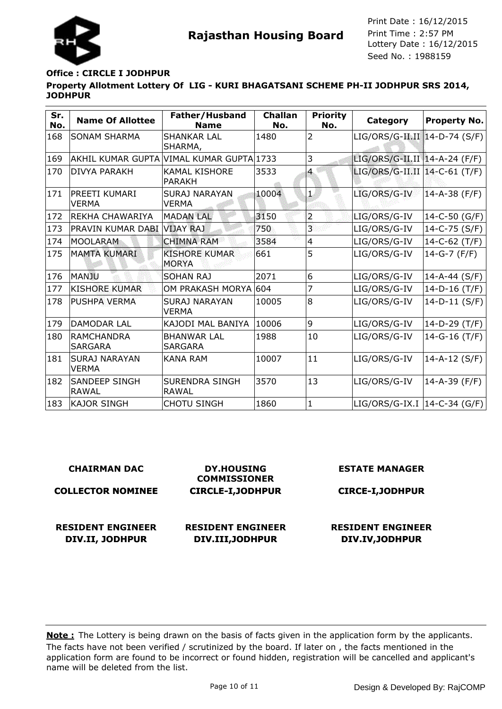

### **Office : CIRCLE I JODHPUR**

**Property Allotment Lottery Of LIG - KURI BHAGATSANI SCHEME PH-II JODHPUR SRS 2014, JODHPUR**

| Sr.<br>No. | <b>Name Of Allottee</b>              | Father/Husband<br><b>Name</b>            | <b>Challan</b><br>No. | <b>Priority</b><br>No. | Category                        | <b>Property No.</b> |
|------------|--------------------------------------|------------------------------------------|-----------------------|------------------------|---------------------------------|---------------------|
| 168        | <b>SONAM SHARMA</b>                  | <b>SHANKAR LAL</b><br>SHARMA,            | 1480                  | $\overline{2}$         | LIG/ORS/G-II.II 14-D-74 (S/F)   |                     |
| 169        |                                      | AKHIL KUMAR GUPTA VIMAL KUMAR GUPTA 1733 |                       | 3                      | LIG/ORS/G-II.II   14-A-24 (F/F) |                     |
| 170        | <b>DIVYA PARAKH</b>                  | <b>KAMAL KISHORE</b><br><b>PARAKH</b>    | 3533                  | $\overline{4}$         | LIG/ORS/G-II.II   14-C-61 (T/F) |                     |
| 171        | PREETI KUMARI<br><b>VERMA</b>        | <b>SURAJ NARAYAN</b><br><b>VERMA</b>     | 10004                 | $\overline{1}$         | LIG/ORS/G-IV                    | $14 - A - 38$ (F/F) |
| 172        | <b>REKHA CHAWARIYA</b>               | <b>MADAN LAL</b>                         | 3150                  | $\overline{a}$         | LIG/ORS/G-IV                    | $14-C-50$ (G/F)     |
| 173        | PRAVIN KUMAR DABI VIJAY RAJ          |                                          | 750                   | 3                      | LIG/ORS/G-IV                    | 14-C-75 (S/F)       |
| 174        | <b>MOOLARAM</b>                      | <b>CHIMNA RAM</b>                        | 3584                  | $\overline{4}$         | LIG/ORS/G-IV                    | $14-C-62(T/F)$      |
| 175        | <b>MAMTA KUMARI</b>                  | <b>KISHORE KUMAR</b><br><b>MORYA</b>     | 661                   | 5                      | LIG/ORS/G-IV                    | $14-G-7$ (F/F)      |
| 176        | MANJU                                | <b>SOHAN RAJ</b>                         | 2071                  | 6                      | LIG/ORS/G-IV                    | $14 - A - 44$ (S/F) |
| 177        | <b>KISHORE KUMAR</b>                 | OM PRAKASH MORYA 604                     |                       | 7                      | LIG/ORS/G-IV                    | $14-D-16$ (T/F)     |
| 178        | <b>PUSHPA VERMA</b>                  | <b>SURAJ NARAYAN</b><br><b>VERMA</b>     | 10005                 | 8                      | LIG/ORS/G-IV                    | $14-D-11$ (S/F)     |
| 179        | <b>DAMODAR LAL</b>                   | KAJODI MAL BANIYA                        | 10006                 | 9                      | LIG/ORS/G-IV                    | $14-D-29$ (T/F)     |
| 180        | <b>RAMCHANDRA</b><br><b>SARGARA</b>  | <b>BHANWAR LAL</b><br><b>SARGARA</b>     | 1988                  | 10                     | LIG/ORS/G-IV                    | $14-G-16$ (T/F)     |
| 181        | <b>SURAJ NARAYAN</b><br><b>VERMA</b> | KANA RAM                                 | 10007                 | 11                     | LIG/ORS/G-IV                    | 14-A-12 $(S/F)$     |
| 182        | <b>SANDEEP SINGH</b><br><b>RAWAL</b> | <b>SURENDRA SINGH</b><br>RAWAL           | 3570                  | 13                     | LIG/ORS/G-IV                    | $14 - A - 39$ (F/F) |
| 183        | <b>KAJOR SINGH</b>                   | <b>CHOTU SINGH</b>                       | 1860                  | $\mathbf{1}$           | LIG/ORS/G-IX.I  14-C-34 (G/F)   |                     |

| <b>CHAIRMAN DAC</b>                         | <b>DY.HOUSING</b><br><b>COMMISSIONER</b>     | <b>ESTATE MANAGER</b>                       |
|---------------------------------------------|----------------------------------------------|---------------------------------------------|
| <b>COLLECTOR NOMINEE</b>                    | <b>CIRCLE-I, JODHPUR</b>                     | <b>CIRCE-I, JODHPUR</b>                     |
| <b>RESIDENT ENGINEER</b><br>DIV.II, JODHPUR | <b>RESIDENT ENGINEER</b><br>DIV.III, JODHPUR | <b>RESIDENT ENGINEER</b><br>DIV.IV, JODHPUR |